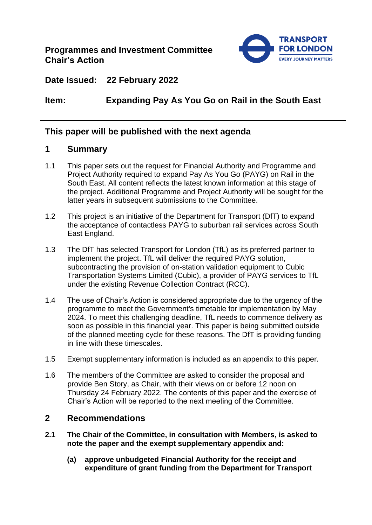

**Date Issued: 22 February 2022**

# **Item: Expanding Pay As You Go on Rail in the South East**

## **This paper will be published with the next agenda**

## **1 Summary**

- 1.1 This paper sets out the request for Financial Authority and Programme and Project Authority required to expand Pay As You Go (PAYG) on Rail in the South East. All content reflects the latest known information at this stage of the project. Additional Programme and Project Authority will be sought for the latter years in subsequent submissions to the Committee.
- 1.2 This project is an initiative of the Department for Transport (DfT) to expand the acceptance of contactless PAYG to suburban rail services across South East England.
- 1.3 The DfT has selected Transport for London (TfL) as its preferred partner to implement the project. TfL will deliver the required PAYG solution, subcontracting the provision of on-station validation equipment to Cubic Transportation Systems Limited (Cubic), a provider of PAYG services to TfL under the existing Revenue Collection Contract (RCC).
- 1.4 The use of Chair's Action is considered appropriate due to the urgency of the programme to meet the Government's timetable for implementation by May 2024. To meet this challenging deadline, TfL needs to commence delivery as soon as possible in this financial year. This paper is being submitted outside of the planned meeting cycle for these reasons. The DfT is providing funding in line with these timescales.
- 1.5 Exempt supplementary information is included as an appendix to this paper.
- 1.6 The members of the Committee are asked to consider the proposal and provide Ben Story, as Chair, with their views on or before 12 noon on Thursday 24 February 2022. The contents of this paper and the exercise of Chair's Action will be reported to the next meeting of the Committee.

## **2 Recommendations**

- **2.1 The Chair of the Committee, in consultation with Members, is asked to note the paper and the exempt supplementary appendix and:**
	- **(a) approve unbudgeted Financial Authority for the receipt and expenditure of grant funding from the Department for Transport**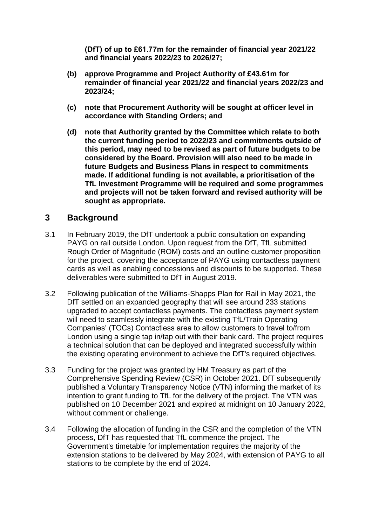**(DfT) of up to £61.77m for the remainder of financial year 2021/22 and financial years 2022/23 to 2026/27;**

- **(b) approve Programme and Project Authority of £43.61m for remainder of financial year 2021/22 and financial years 2022/23 and 2023/24;**
- **(c) note that Procurement Authority will be sought at officer level in accordance with Standing Orders; and**
- **(d) note that Authority granted by the Committee which relate to both the current funding period to 2022/23 and commitments outside of this period, may need to be revised as part of future budgets to be considered by the Board. Provision will also need to be made in future Budgets and Business Plans in respect to commitments made. If additional funding is not available, a prioritisation of the TfL Investment Programme will be required and some programmes and projects will not be taken forward and revised authority will be sought as appropriate.**

## **3 Background**

- 3.1 In February 2019, the DfT undertook a public consultation on expanding PAYG on rail outside London. Upon request from the DfT, TfL submitted Rough Order of Magnitude (ROM) costs and an outline customer proposition for the project, covering the acceptance of PAYG using contactless payment cards as well as enabling concessions and discounts to be supported. These deliverables were submitted to DfT in August 2019.
- 3.2 Following publication of the Williams-Shapps Plan for Rail in May 2021, the DfT settled on an expanded geography that will see around 233 stations upgraded to accept contactless payments. The contactless payment system will need to seamlessly integrate with the existing TfL/Train Operating Companies' (TOCs) Contactless area to allow customers to travel to/from London using a single tap in/tap out with their bank card. The project requires a technical solution that can be deployed and integrated successfully within the existing operating environment to achieve the DfT's required objectives.
- 3.3 Funding for the project was granted by HM Treasury as part of the Comprehensive Spending Review (CSR) in October 2021. DfT subsequently published a Voluntary Transparency Notice (VTN) informing the market of its intention to grant funding to TfL for the delivery of the project. The VTN was published on 10 December 2021 and expired at midnight on 10 January 2022, without comment or challenge.
- 3.4 Following the allocation of funding in the CSR and the completion of the VTN process, DfT has requested that TfL commence the project. The Government's timetable for implementation requires the majority of the extension stations to be delivered by May 2024, with extension of PAYG to all stations to be complete by the end of 2024.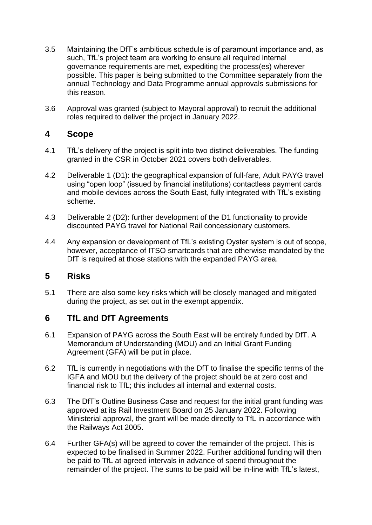- 3.5 Maintaining the DfT's ambitious schedule is of paramount importance and, as such, TfL's project team are working to ensure all required internal governance requirements are met, expediting the process(es) wherever possible. This paper is being submitted to the Committee separately from the annual Technology and Data Programme annual approvals submissions for this reason.
- 3.6 Approval was granted (subject to Mayoral approval) to recruit the additional roles required to deliver the project in January 2022.

#### **4 Scope**

- 4.1 TfL's delivery of the project is split into two distinct deliverables. The funding granted in the CSR in October 2021 covers both deliverables.
- 4.2 Deliverable 1 (D1): the geographical expansion of full-fare, Adult PAYG travel using "open loop" (issued by financial institutions) contactless payment cards and mobile devices across the South East, fully integrated with TfL's existing scheme.
- 4.3 Deliverable 2 (D2): further development of the D1 functionality to provide discounted PAYG travel for National Rail concessionary customers.
- 4.4 Any expansion or development of TfL's existing Oyster system is out of scope, however, acceptance of ITSO smartcards that are otherwise mandated by the DfT is required at those stations with the expanded PAYG area.

## **5 Risks**

5.1 There are also some key risks which will be closely managed and mitigated during the project, as set out in the exempt appendix.

## **6 TfL and DfT Agreements**

- 6.1 Expansion of PAYG across the South East will be entirely funded by DfT. A Memorandum of Understanding (MOU) and an Initial Grant Funding Agreement (GFA) will be put in place.
- 6.2 TfL is currently in negotiations with the DfT to finalise the specific terms of the IGFA and MOU but the delivery of the project should be at zero cost and financial risk to TfL; this includes all internal and external costs.
- 6.3 The DfT's Outline Business Case and request for the initial grant funding was approved at its Rail Investment Board on 25 January 2022. Following Ministerial approval, the grant will be made directly to TfL in accordance with the Railways Act 2005.
- 6.4 Further GFA(s) will be agreed to cover the remainder of the project. This is expected to be finalised in Summer 2022. Further additional funding will then be paid to TfL at agreed intervals in advance of spend throughout the remainder of the project. The sums to be paid will be in-line with TfL's latest,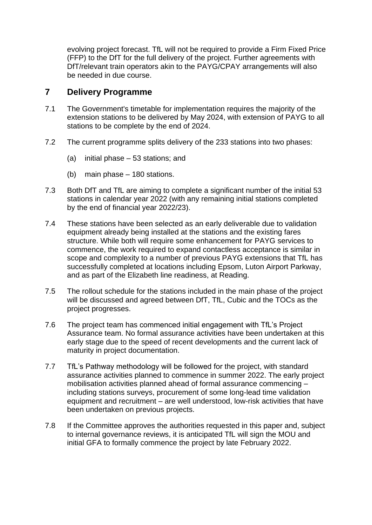evolving project forecast. TfL will not be required to provide a Firm Fixed Price (FFP) to the DfT for the full delivery of the project. Further agreements with DfT/relevant train operators akin to the PAYG/CPAY arrangements will also be needed in due course.

## **7 Delivery Programme**

- 7.1 The Government's timetable for implementation requires the majority of the extension stations to be delivered by May 2024, with extension of PAYG to all stations to be complete by the end of 2024.
- 7.2 The current programme splits delivery of the 233 stations into two phases:
	- (a) initial phase 53 stations; and
	- (b) main phase 180 stations.
- 7.3 Both DfT and TfL are aiming to complete a significant number of the initial 53 stations in calendar year 2022 (with any remaining initial stations completed by the end of financial year 2022/23).
- 7.4 These stations have been selected as an early deliverable due to validation equipment already being installed at the stations and the existing fares structure. While both will require some enhancement for PAYG services to commence, the work required to expand contactless acceptance is similar in scope and complexity to a number of previous PAYG extensions that TfL has successfully completed at locations including Epsom, Luton Airport Parkway, and as part of the Elizabeth line readiness, at Reading.
- 7.5 The rollout schedule for the stations included in the main phase of the project will be discussed and agreed between DfT, TfL, Cubic and the TOCs as the project progresses.
- 7.6 The project team has commenced initial engagement with TfL's Project Assurance team. No formal assurance activities have been undertaken at this early stage due to the speed of recent developments and the current lack of maturity in project documentation.
- 7.7 TfL's Pathway methodology will be followed for the project, with standard assurance activities planned to commence in summer 2022. The early project mobilisation activities planned ahead of formal assurance commencing – including stations surveys, procurement of some long-lead time validation equipment and recruitment – are well understood, low-risk activities that have been undertaken on previous projects.
- 7.8 If the Committee approves the authorities requested in this paper and, subject to internal governance reviews, it is anticipated TfL will sign the MOU and initial GFA to formally commence the project by late February 2022.